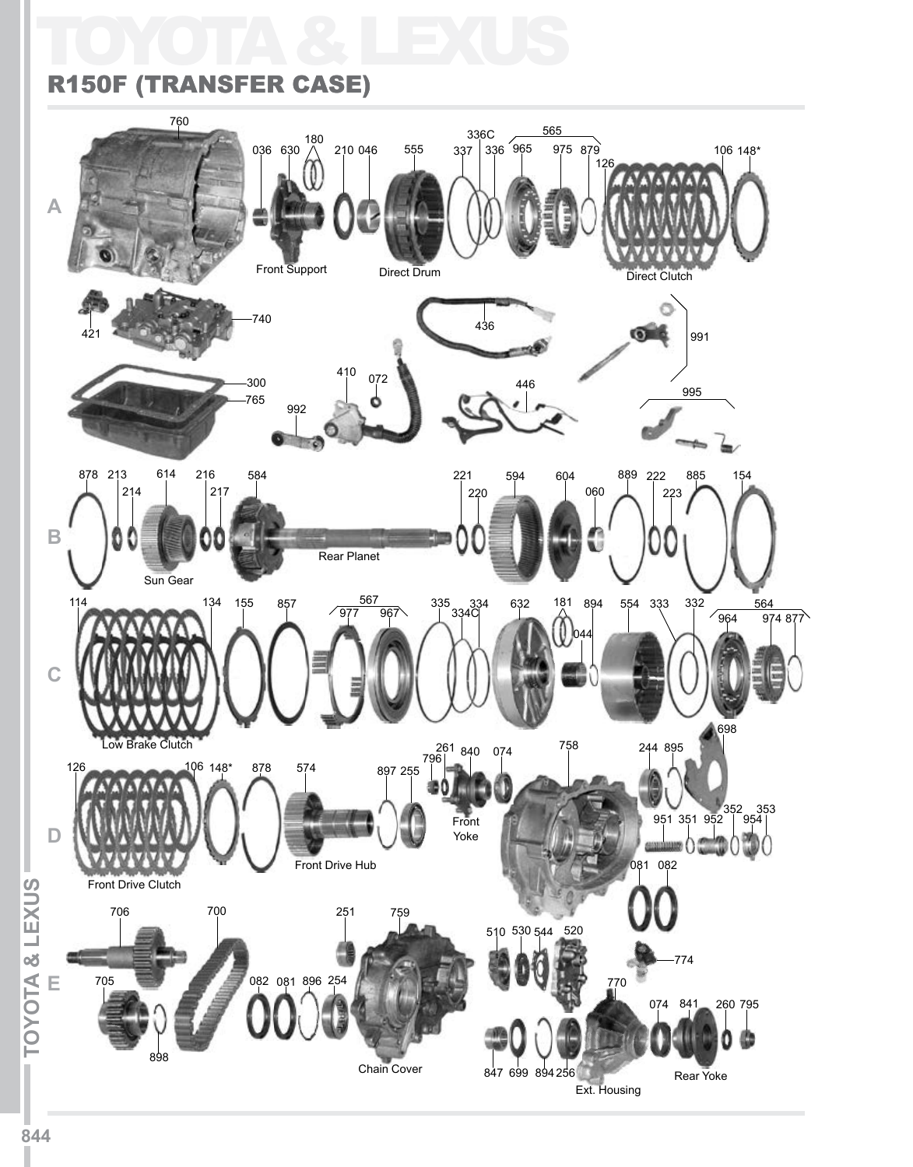# TOYOTA & LEXUS



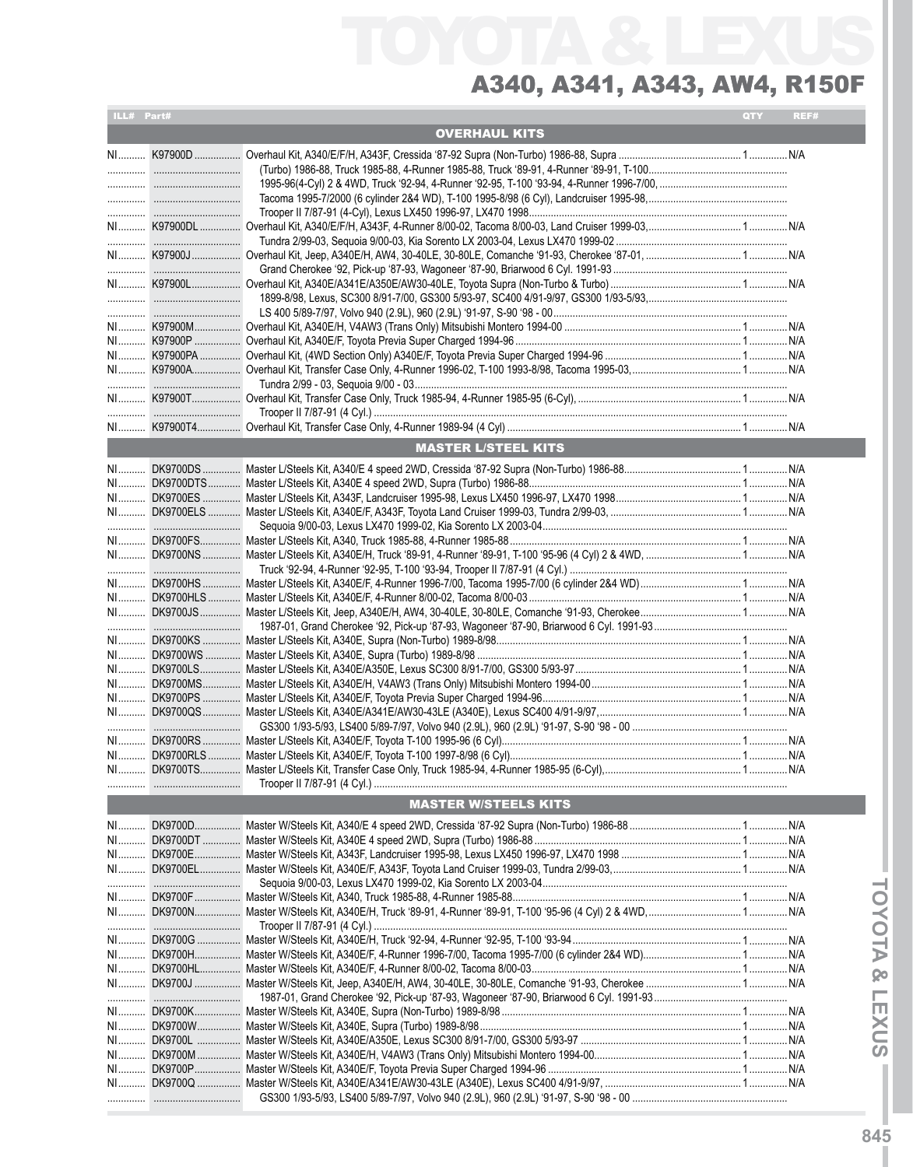| ILL# Part# |                                                                                                               | QTY | REF# |
|------------|---------------------------------------------------------------------------------------------------------------|-----|------|
|            | <b>OVERHAUL KITS</b>                                                                                          |     |      |
|            |                                                                                                               |     |      |
|            |                                                                                                               |     |      |
|            |                                                                                                               |     |      |
|            |                                                                                                               |     |      |
|            |                                                                                                               |     |      |
|            |                                                                                                               |     |      |
|            |                                                                                                               |     |      |
|            |                                                                                                               |     |      |
|            |                                                                                                               |     |      |
|            |                                                                                                               |     |      |
|            |                                                                                                               |     |      |
|            |                                                                                                               |     |      |
|            |                                                                                                               |     |      |
|            |                                                                                                               |     |      |
|            |                                                                                                               |     |      |
|            |                                                                                                               |     |      |
|            |                                                                                                               |     |      |
|            |                                                                                                               |     |      |
|            |                                                                                                               |     |      |
|            |                                                                                                               |     |      |
|            | <b>MASTER L/STEEL KITS</b>                                                                                    |     |      |
|            |                                                                                                               |     |      |
|            |                                                                                                               |     |      |
|            |                                                                                                               |     |      |
|            |                                                                                                               |     |      |
|            |                                                                                                               |     |      |
|            |                                                                                                               |     |      |
|            |                                                                                                               |     |      |
|            |                                                                                                               |     |      |
|            |                                                                                                               |     |      |
|            |                                                                                                               |     |      |
|            |                                                                                                               |     |      |
|            |                                                                                                               |     |      |
|            |                                                                                                               |     |      |
|            |                                                                                                               |     |      |
|            |                                                                                                               |     |      |
|            |                                                                                                               |     |      |
|            |                                                                                                               |     |      |
|            |                                                                                                               |     |      |
|            |                                                                                                               |     |      |
|            |                                                                                                               |     |      |
|            |                                                                                                               |     |      |
|            |                                                                                                               |     |      |
|            |                                                                                                               |     |      |
|            | <b>MASTER W/STEELS KITS</b>                                                                                   |     |      |
|            |                                                                                                               |     |      |
|            |                                                                                                               |     |      |
| NI         |                                                                                                               |     |      |
|            |                                                                                                               |     |      |
|            |                                                                                                               |     |      |
|            |                                                                                                               |     |      |
|            | NI DK9700F……………… Master W/Steels Kit, A340, Truck 1985-88, 4-Runner 1985-88…………………………………………………………………………………N/A |     |      |
|            |                                                                                                               |     |      |
|            |                                                                                                               |     |      |
|            |                                                                                                               |     |      |
|            |                                                                                                               |     |      |
|            |                                                                                                               |     |      |
|            |                                                                                                               |     |      |
|            |                                                                                                               |     |      |
|            |                                                                                                               |     |      |
|            |                                                                                                               |     |      |
|            |                                                                                                               |     |      |
|            |                                                                                                               |     |      |
|            |                                                                                                               |     |      |
|            |                                                                                                               |     |      |
|            |                                                                                                               |     |      |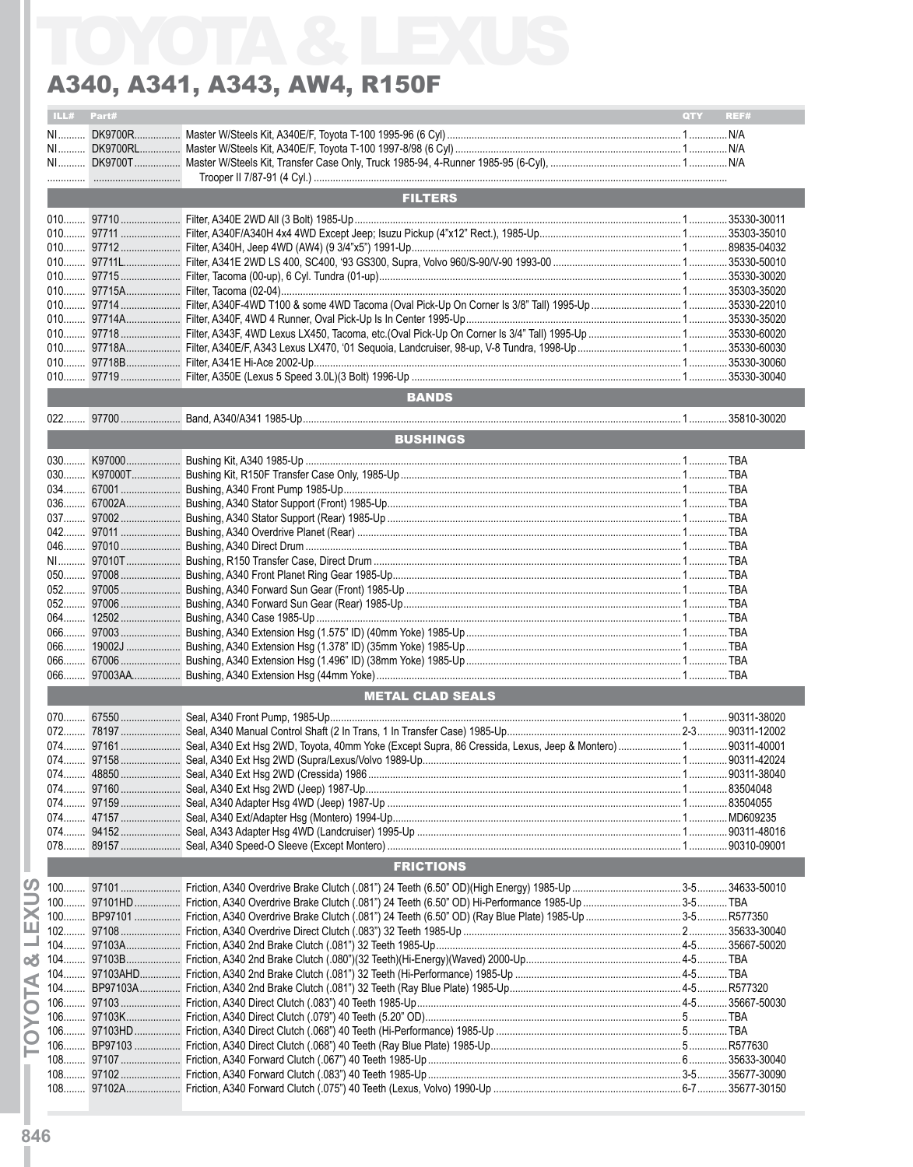|           | $ILL#$ Part# |                                                                    |       | <b>QTY REF#</b>             |
|-----------|--------------|--------------------------------------------------------------------|-------|-----------------------------|
|           |              |                                                                    |       |                             |
|           |              |                                                                    |       |                             |
|           |              |                                                                    |       |                             |
|           |              |                                                                    |       |                             |
|           |              |                                                                    |       |                             |
|           |              |                                                                    |       |                             |
|           |              | <b>FILTERS</b>                                                     |       |                             |
|           |              |                                                                    |       |                             |
|           |              |                                                                    |       |                             |
|           |              |                                                                    |       |                             |
|           |              |                                                                    |       |                             |
|           |              |                                                                    |       |                             |
|           |              |                                                                    |       |                             |
|           |              |                                                                    |       |                             |
|           |              |                                                                    |       |                             |
|           |              |                                                                    |       |                             |
|           |              |                                                                    |       |                             |
|           |              |                                                                    |       |                             |
|           |              |                                                                    |       |                             |
|           |              |                                                                    |       |                             |
|           |              |                                                                    |       |                             |
|           |              |                                                                    |       |                             |
|           |              | <b>BANDS</b>                                                       |       |                             |
|           |              |                                                                    |       |                             |
|           |              |                                                                    |       |                             |
|           |              | <b>BUSHINGS</b>                                                    |       |                             |
|           |              |                                                                    |       |                             |
|           |              |                                                                    |       |                             |
|           |              |                                                                    |       |                             |
|           |              |                                                                    |       |                             |
|           |              |                                                                    |       |                             |
|           |              |                                                                    |       |                             |
|           |              |                                                                    |       |                             |
|           |              |                                                                    |       |                             |
|           |              |                                                                    |       |                             |
|           |              |                                                                    |       |                             |
|           |              |                                                                    |       |                             |
|           |              |                                                                    |       |                             |
|           |              |                                                                    |       |                             |
|           |              |                                                                    |       |                             |
|           |              |                                                                    |       |                             |
|           |              |                                                                    |       |                             |
|           |              |                                                                    |       |                             |
|           |              |                                                                    |       |                             |
|           |              |                                                                    |       |                             |
|           |              |                                                                    |       |                             |
|           |              | <b>METAL CLAD SEALS</b>                                            |       |                             |
|           |              |                                                                    |       |                             |
|           |              |                                                                    |       |                             |
|           |              |                                                                    |       |                             |
|           |              |                                                                    |       |                             |
|           |              |                                                                    |       |                             |
|           |              |                                                                    |       |                             |
|           |              |                                                                    |       |                             |
|           |              |                                                                    |       |                             |
| $074$     |              |                                                                    |       |                             |
|           |              |                                                                    |       |                             |
|           |              |                                                                    |       |                             |
|           |              |                                                                    |       |                             |
|           |              |                                                                    |       |                             |
|           |              | <b>FRICTIONS</b>                                                   |       |                             |
|           |              |                                                                    |       |                             |
| $100$     |              |                                                                    |       |                             |
|           |              |                                                                    |       |                             |
| $100$     |              |                                                                    |       |                             |
| 102.      |              |                                                                    |       |                             |
| $104$     |              |                                                                    |       |                             |
| $104$     |              |                                                                    |       |                             |
|           |              |                                                                    |       |                             |
|           |              |                                                                    |       |                             |
| $104$     |              |                                                                    |       |                             |
| $106$     |              |                                                                    |       |                             |
|           |              |                                                                    |       |                             |
| $106$     |              |                                                                    |       |                             |
| $106$     |              |                                                                    |       |                             |
|           |              |                                                                    |       |                             |
| $108$     |              |                                                                    |       |                             |
|           |              |                                                                    |       |                             |
| 108.<br>. | Q7102A       | Eriction 4340 Forward Clutch (075") 40 Teeth (Levus Volvo) 1990-Un | $6-7$ | .35677-30090<br>35677-30150 |
| 108       |              |                                                                    |       |                             |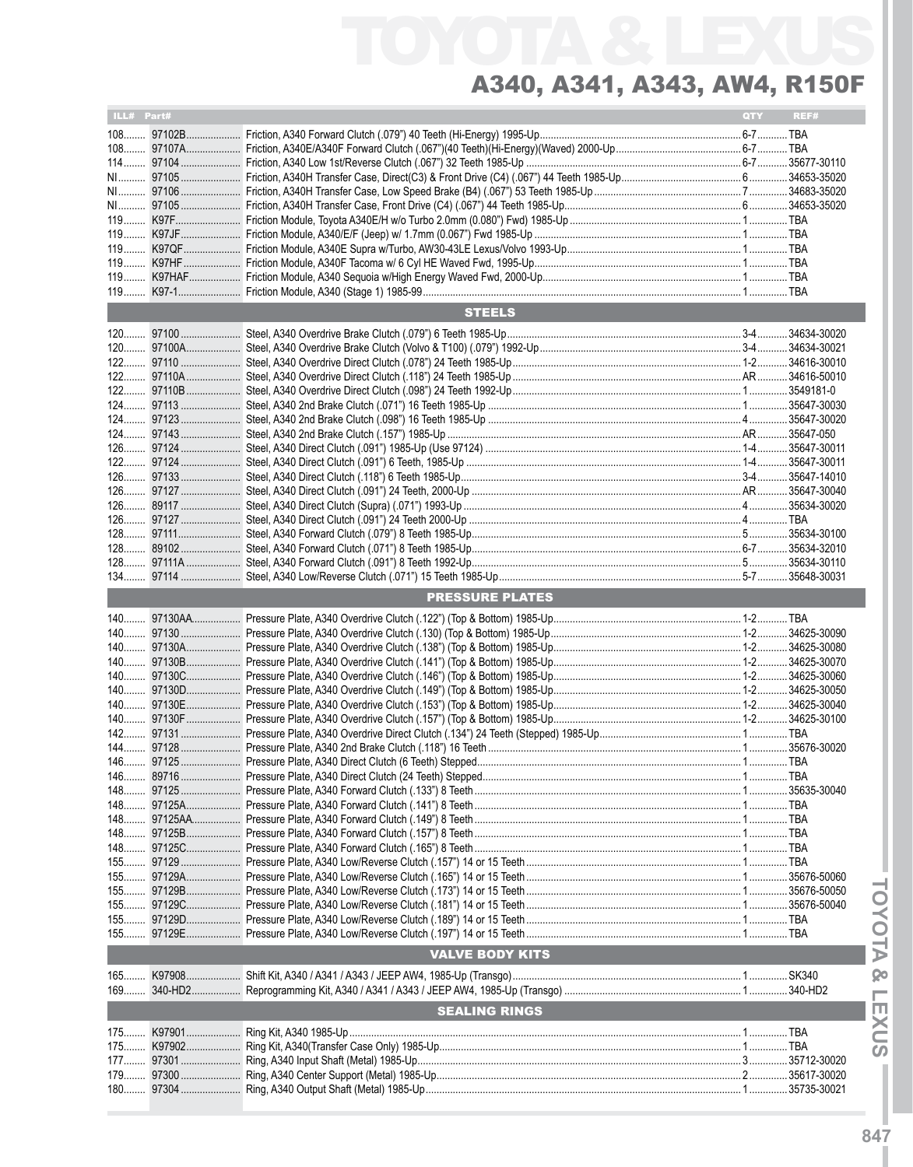| ILL# Part# |                        | QTY | REF# |
|------------|------------------------|-----|------|
|            |                        |     |      |
|            |                        |     |      |
|            |                        |     |      |
|            |                        |     |      |
|            |                        |     |      |
|            |                        |     |      |
|            |                        |     |      |
|            |                        |     |      |
|            |                        |     |      |
|            |                        |     |      |
|            |                        |     |      |
|            |                        |     |      |
|            | <b>STEELS</b>          |     |      |
|            |                        |     |      |
|            |                        |     |      |
|            |                        |     |      |
|            |                        |     |      |
|            |                        |     |      |
|            |                        |     |      |
|            |                        |     |      |
|            |                        |     |      |
|            |                        |     |      |
|            |                        |     |      |
|            |                        |     |      |
|            |                        |     |      |
|            |                        |     |      |
|            |                        |     |      |
|            |                        |     |      |
|            |                        |     |      |
|            |                        |     |      |
|            | <b>PRESSURE PLATES</b> |     |      |
|            |                        |     |      |
|            |                        |     |      |
|            |                        |     |      |
|            |                        |     |      |
|            |                        |     |      |
|            |                        |     |      |
|            |                        |     |      |
|            |                        |     |      |
|            |                        |     |      |
|            |                        |     |      |
|            |                        |     |      |
|            |                        |     |      |
|            |                        |     |      |
|            |                        |     |      |
|            |                        |     |      |
|            |                        |     |      |
|            |                        |     |      |
|            |                        |     |      |
|            |                        |     |      |
|            |                        |     |      |
|            |                        |     |      |
|            |                        |     |      |
|            | <b>VALVE BODY KITS</b> |     |      |
|            |                        |     |      |
| 169        |                        |     |      |
|            | <b>SEALING RINGS</b>   |     |      |
|            |                        |     |      |
|            |                        |     |      |
|            |                        |     |      |
|            |                        |     |      |
|            |                        |     |      |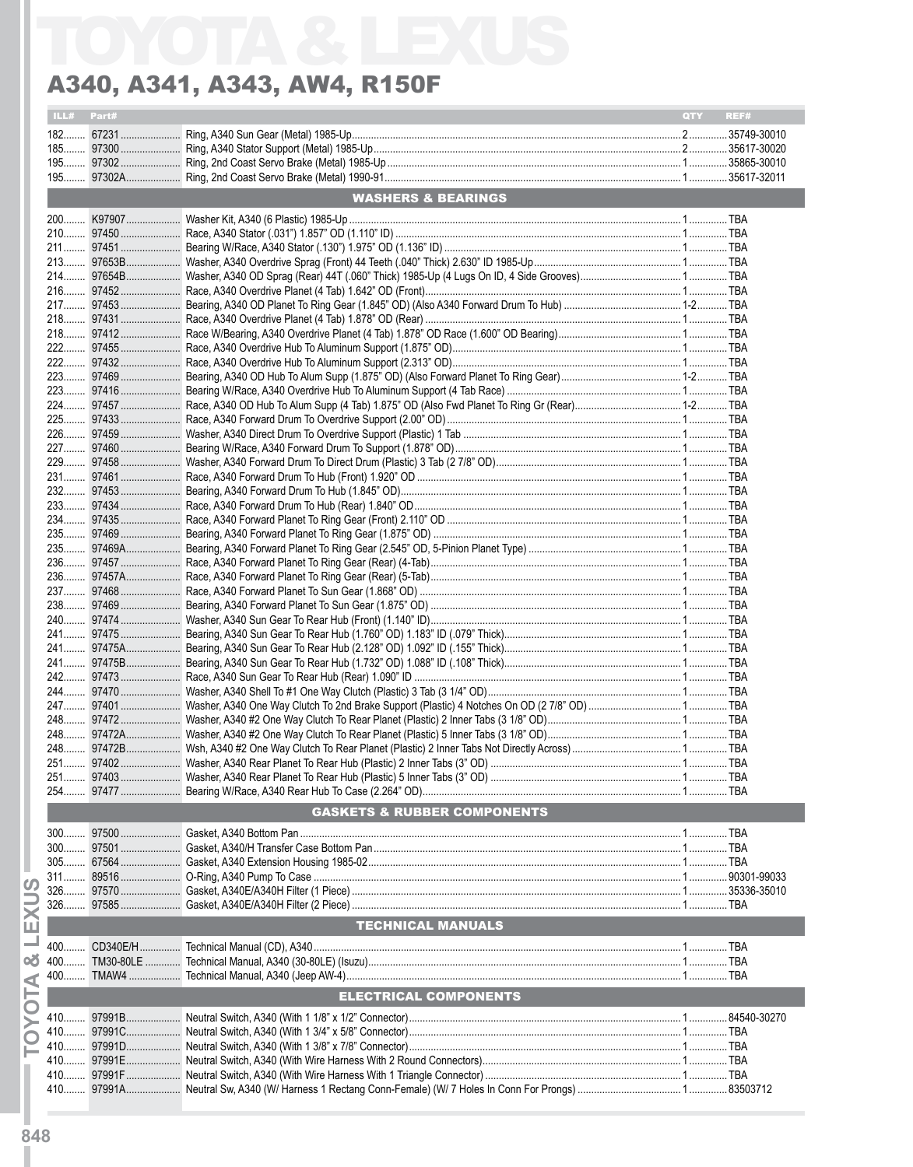| ILL# Part# |                                        | <b>QTY</b> | REF# |
|------------|----------------------------------------|------------|------|
|            |                                        |            |      |
|            |                                        |            |      |
|            |                                        |            |      |
|            |                                        |            |      |
|            |                                        |            |      |
|            | <b>WASHERS &amp; BEARINGS</b>          |            |      |
|            |                                        |            |      |
|            |                                        |            |      |
|            |                                        |            |      |
|            |                                        |            |      |
|            |                                        |            |      |
|            |                                        |            |      |
|            |                                        |            |      |
|            |                                        |            |      |
|            |                                        |            |      |
|            |                                        |            |      |
|            |                                        |            |      |
|            |                                        |            |      |
|            |                                        |            |      |
|            |                                        |            |      |
|            |                                        |            |      |
|            |                                        |            |      |
|            |                                        |            |      |
|            |                                        |            |      |
|            |                                        |            |      |
|            |                                        |            |      |
|            |                                        |            |      |
|            |                                        |            |      |
|            |                                        |            |      |
|            |                                        |            |      |
|            |                                        |            |      |
|            |                                        |            |      |
|            |                                        |            |      |
|            |                                        |            |      |
|            |                                        |            |      |
|            |                                        |            |      |
|            |                                        |            |      |
|            |                                        |            |      |
|            |                                        |            |      |
|            |                                        |            |      |
|            |                                        |            |      |
|            |                                        |            |      |
|            |                                        |            |      |
|            |                                        |            |      |
|            |                                        |            |      |
|            |                                        |            |      |
|            |                                        |            |      |
|            |                                        |            |      |
|            |                                        |            |      |
|            |                                        |            |      |
|            | <b>GASKETS &amp; RUBBER COMPONENTS</b> |            |      |
|            |                                        |            |      |
|            |                                        |            |      |
| $300$      |                                        |            |      |
| $305$      |                                        |            |      |
|            |                                        |            |      |
|            |                                        |            |      |
|            |                                        |            |      |
|            | <b>TECHNICAL MANUALS</b>               |            |      |
|            |                                        |            |      |
| $400$      |                                        |            |      |
| 400        |                                        |            |      |
|            |                                        |            |      |
|            | <b>ELECTRICAL COMPONENTS</b>           |            |      |
|            |                                        |            |      |
| $410$      |                                        |            |      |
|            |                                        |            |      |
| 410………     |                                        |            |      |
|            |                                        |            |      |
|            |                                        |            |      |
| 410        |                                        |            |      |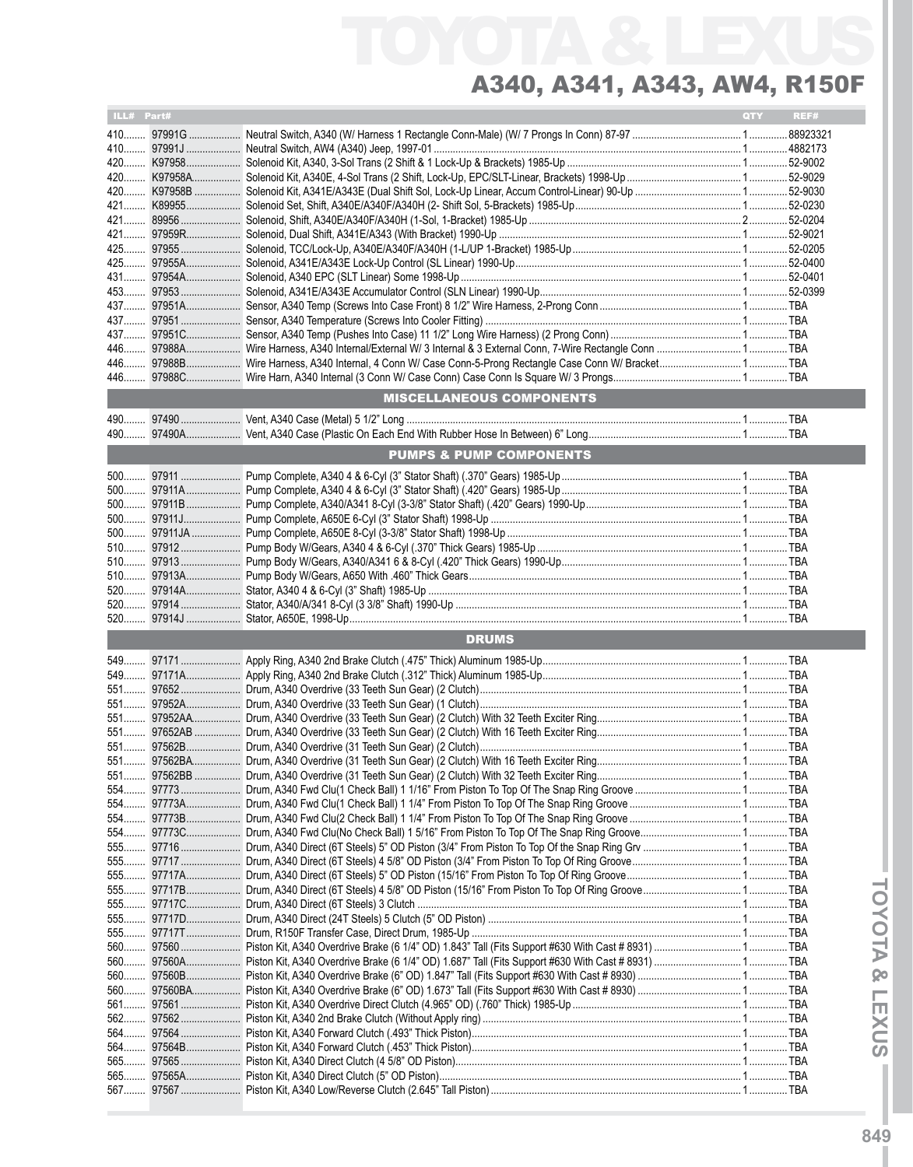| ILL# Part# |                                    | QTY | REF# |
|------------|------------------------------------|-----|------|
|            |                                    |     |      |
|            |                                    |     |      |
|            |                                    |     |      |
|            |                                    |     |      |
|            |                                    |     |      |
|            |                                    |     |      |
|            |                                    |     |      |
|            |                                    |     |      |
|            |                                    |     |      |
|            |                                    |     |      |
|            |                                    |     |      |
|            |                                    |     |      |
|            |                                    |     |      |
|            |                                    |     |      |
|            |                                    |     |      |
|            |                                    |     |      |
|            |                                    |     |      |
|            | <b>MISCELLANEOUS COMPONENTS</b>    |     |      |
|            |                                    |     |      |
|            |                                    |     |      |
|            | <b>PUMPS &amp; PUMP COMPONENTS</b> |     |      |
|            |                                    |     |      |
|            |                                    |     |      |
|            |                                    |     |      |
|            |                                    |     |      |
|            |                                    |     |      |
|            |                                    |     |      |
|            |                                    |     |      |
|            |                                    |     |      |
|            |                                    |     |      |
|            |                                    |     |      |
|            |                                    |     |      |
|            | <b>DRUMS</b>                       |     |      |
|            |                                    |     |      |
|            |                                    |     |      |
|            |                                    |     |      |
|            |                                    |     |      |
|            |                                    |     |      |
|            |                                    |     |      |
|            |                                    |     |      |
|            |                                    |     |      |
|            |                                    |     |      |
|            |                                    |     |      |
|            |                                    |     |      |
|            |                                    |     |      |
|            |                                    |     |      |
|            |                                    |     |      |
|            |                                    |     |      |
|            |                                    |     |      |
|            |                                    |     |      |
|            |                                    |     |      |
|            |                                    |     |      |
|            |                                    |     |      |
|            |                                    |     |      |
|            |                                    |     |      |
|            |                                    |     |      |
| 562        |                                    |     |      |
| 564<br>564 |                                    |     |      |
|            |                                    |     |      |
|            |                                    |     |      |
|            |                                    |     |      |
|            |                                    |     |      |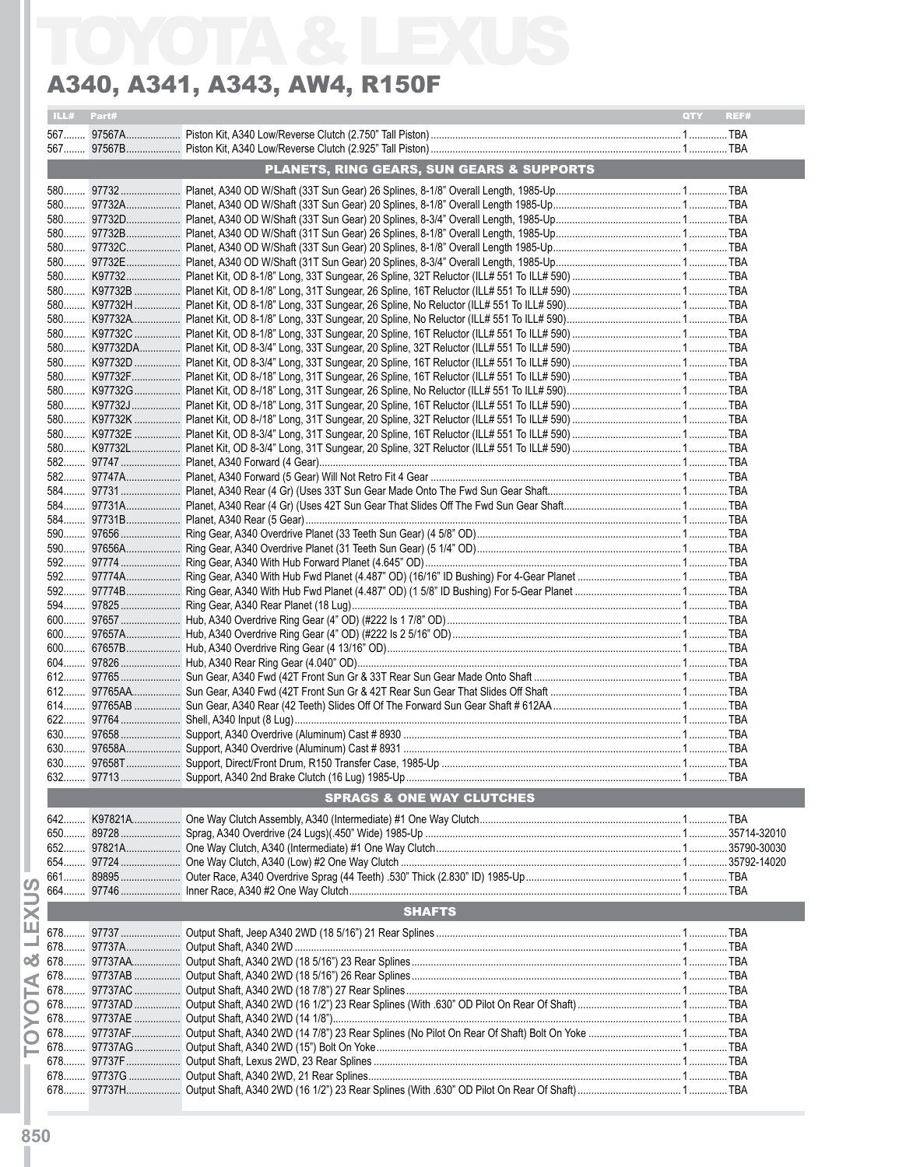| ILL# Part# |                                                      | <b>OTY</b><br>REF# |
|------------|------------------------------------------------------|--------------------|
|            |                                                      |                    |
|            |                                                      |                    |
|            | <b>PLANETS, RING GEARS, SUN GEARS &amp; SUPPORTS</b> |                    |
|            |                                                      |                    |
|            |                                                      |                    |
|            |                                                      |                    |
|            |                                                      |                    |
|            |                                                      |                    |
|            |                                                      |                    |
|            |                                                      |                    |
|            |                                                      |                    |
|            |                                                      |                    |
|            |                                                      |                    |
|            |                                                      |                    |
|            |                                                      |                    |
|            |                                                      |                    |
|            |                                                      |                    |
|            |                                                      |                    |
|            |                                                      |                    |
|            |                                                      |                    |
|            |                                                      |                    |
|            |                                                      |                    |
|            |                                                      |                    |
|            |                                                      |                    |
|            |                                                      |                    |
|            |                                                      |                    |
|            |                                                      |                    |
|            |                                                      |                    |
|            |                                                      |                    |
|            |                                                      |                    |
|            |                                                      |                    |
|            |                                                      |                    |
|            |                                                      |                    |
|            |                                                      |                    |
|            |                                                      |                    |
|            |                                                      |                    |
|            |                                                      |                    |
|            |                                                      |                    |
|            |                                                      |                    |
|            |                                                      |                    |
|            |                                                      |                    |
|            |                                                      |                    |
|            | <b>SPRAGS &amp; ONE WAY CLUTCHES</b>                 |                    |
|            |                                                      |                    |
|            |                                                      |                    |
|            |                                                      |                    |
|            |                                                      |                    |
|            |                                                      |                    |
|            |                                                      |                    |
|            | <b>SHAFTS</b>                                        |                    |
|            |                                                      |                    |
|            |                                                      |                    |
|            |                                                      |                    |
|            |                                                      |                    |
|            |                                                      |                    |
|            |                                                      |                    |
|            |                                                      |                    |
|            |                                                      |                    |
|            |                                                      |                    |
|            |                                                      |                    |
|            |                                                      |                    |
|            |                                                      |                    |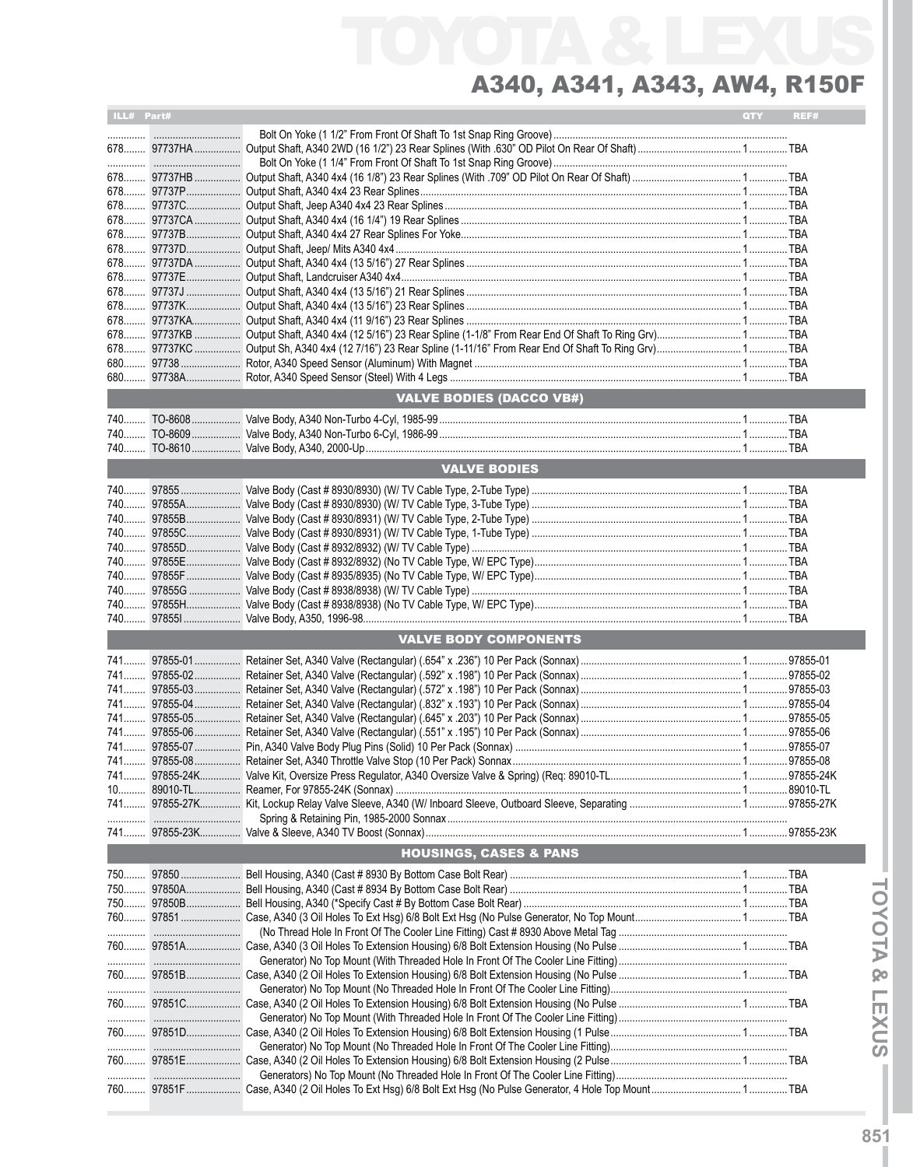| ILL# Part# |            |                                   | QTY | REF# |
|------------|------------|-----------------------------------|-----|------|
|            |            |                                   |     |      |
|            |            |                                   |     |      |
|            |            |                                   |     |      |
|            |            |                                   |     |      |
|            |            |                                   |     |      |
|            |            |                                   |     |      |
|            |            |                                   |     |      |
|            |            |                                   |     |      |
|            |            |                                   |     |      |
|            |            |                                   |     |      |
|            |            |                                   |     |      |
|            |            |                                   |     |      |
|            |            |                                   |     |      |
|            |            |                                   |     |      |
|            |            |                                   |     |      |
|            |            |                                   |     |      |
|            |            |                                   |     |      |
|            |            |                                   |     |      |
|            |            |                                   |     |      |
|            |            |                                   |     |      |
|            |            | <b>VALVE BODIES (DACCO VB#)</b>   |     |      |
|            |            |                                   |     |      |
|            |            |                                   |     |      |
|            |            |                                   |     |      |
|            |            |                                   |     |      |
|            |            | <b>VALVE BODIES</b>               |     |      |
|            |            |                                   |     |      |
|            |            |                                   |     |      |
|            |            |                                   |     |      |
|            |            |                                   |     |      |
|            |            |                                   |     |      |
|            |            |                                   |     |      |
|            |            |                                   |     |      |
|            |            |                                   |     |      |
|            |            |                                   |     |      |
|            |            |                                   |     |      |
|            |            |                                   |     |      |
|            |            |                                   |     |      |
|            |            | <b>VALVE BODY COMPONENTS</b>      |     |      |
|            |            |                                   |     |      |
|            |            |                                   |     |      |
|            |            |                                   |     |      |
|            |            |                                   |     |      |
|            |            |                                   |     |      |
|            |            |                                   |     |      |
|            |            |                                   |     |      |
|            |            |                                   |     |      |
|            |            |                                   |     |      |
|            |            |                                   |     |      |
|            |            |                                   |     |      |
|            |            |                                   |     |      |
|            |            |                                   |     |      |
|            |            |                                   |     |      |
|            |            | <b>HOUSINGS, CASES &amp; PANS</b> |     |      |
|            |            |                                   |     |      |
|            |            |                                   |     |      |
|            |            |                                   |     |      |
|            |            |                                   |     |      |
|            |            |                                   |     |      |
|            |            |                                   |     |      |
|            |            |                                   |     |      |
|            |            |                                   |     |      |
|            |            |                                   |     |      |
|            |            |                                   |     |      |
|            | 760 97851C |                                   |     |      |
|            |            |                                   |     |      |
|            |            |                                   |     |      |
|            |            |                                   |     |      |
|            |            |                                   |     |      |
|            |            |                                   |     |      |
|            |            |                                   |     |      |
|            |            |                                   |     |      |
|            |            |                                   |     |      |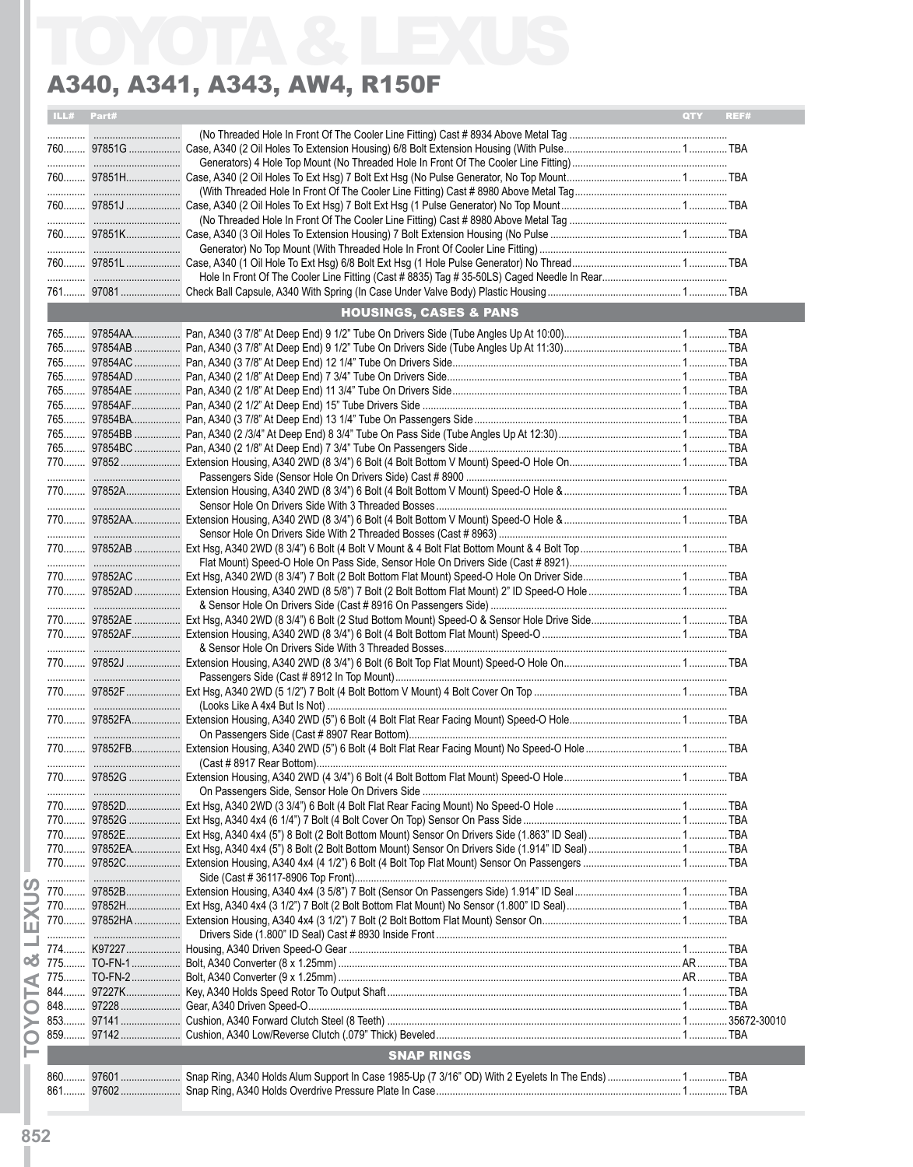| ILL# | Part# |                                   | <b>OTY</b> | REF# |
|------|-------|-----------------------------------|------------|------|
|      |       |                                   |            |      |
|      |       |                                   |            |      |
|      |       |                                   |            |      |
|      |       |                                   |            |      |
|      |       |                                   |            |      |
|      |       |                                   |            |      |
|      |       |                                   |            |      |
|      |       |                                   |            |      |
|      |       |                                   |            |      |
|      |       |                                   |            |      |
|      |       |                                   |            |      |
|      |       | <b>HOUSINGS, CASES &amp; PANS</b> |            |      |
|      |       |                                   |            |      |
|      |       |                                   |            |      |
|      |       |                                   |            |      |
|      |       |                                   |            |      |
|      |       |                                   |            |      |
|      |       |                                   |            |      |
|      |       |                                   |            |      |
|      |       |                                   |            |      |
|      |       |                                   |            |      |
|      |       |                                   |            |      |
|      |       |                                   |            |      |
|      |       |                                   |            |      |
|      |       |                                   |            |      |
|      |       |                                   |            |      |
|      |       |                                   |            |      |
|      |       |                                   |            |      |
|      |       |                                   |            |      |
|      |       |                                   |            |      |
|      |       |                                   |            |      |
|      |       |                                   |            |      |
|      |       |                                   |            |      |
|      |       |                                   |            |      |
|      |       |                                   |            |      |
|      |       |                                   |            |      |
|      |       |                                   |            |      |
|      |       |                                   |            |      |
|      |       |                                   |            |      |
|      |       |                                   |            |      |
|      |       |                                   |            |      |
|      |       |                                   |            |      |
|      |       |                                   |            |      |
|      |       |                                   |            |      |
|      |       |                                   |            |      |
|      |       |                                   |            |      |
|      |       |                                   |            |      |
|      |       |                                   |            |      |
|      |       |                                   |            |      |
|      |       |                                   |            |      |
|      |       |                                   |            |      |
|      |       |                                   |            |      |
|      |       |                                   |            |      |
|      |       |                                   |            |      |
|      |       |                                   |            |      |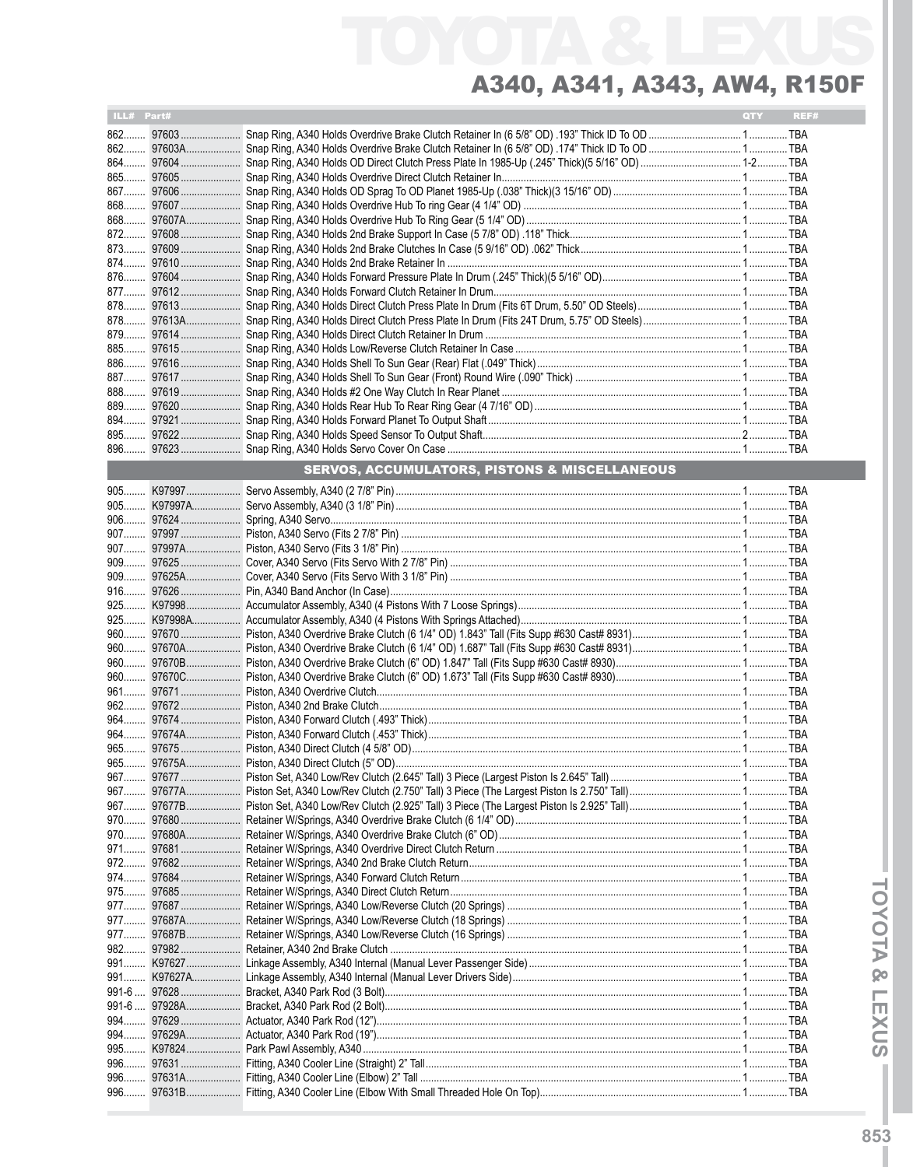| ILL# Part# |  | <b>QTY</b> | REF# |
|------------|--|------------|------|
|            |  |            |      |
|            |  |            |      |
|            |  |            |      |
|            |  |            |      |
|            |  |            |      |
|            |  |            |      |
|            |  |            |      |
|            |  |            |      |
|            |  |            |      |
|            |  |            |      |
|            |  |            |      |
|            |  |            |      |
|            |  |            |      |
|            |  |            |      |
|            |  |            |      |
|            |  |            |      |
|            |  |            |      |
|            |  |            |      |
|            |  |            |      |
|            |  |            |      |
|            |  |            |      |
|            |  |            |      |
| 896        |  |            |      |
|            |  |            |      |

|       |        | <u> 2000 - 2000 - 2000 - 2000 - 2000 - 2000 - 2000 - 2000 - 2000 - 2000 - 2000 - 2000 - 2000 - 2000 - 2000 - 200</u> |            |
|-------|--------|----------------------------------------------------------------------------------------------------------------------|------------|
|       |        |                                                                                                                      |            |
|       |        |                                                                                                                      |            |
|       |        |                                                                                                                      |            |
|       |        |                                                                                                                      |            |
|       |        |                                                                                                                      |            |
|       |        |                                                                                                                      |            |
| $909$ |        |                                                                                                                      |            |
| $916$ |        |                                                                                                                      |            |
|       |        |                                                                                                                      |            |
|       |        |                                                                                                                      |            |
| $960$ |        |                                                                                                                      |            |
|       |        |                                                                                                                      |            |
|       |        |                                                                                                                      |            |
| 960   |        |                                                                                                                      |            |
| $961$ |        |                                                                                                                      |            |
|       |        |                                                                                                                      |            |
|       |        |                                                                                                                      |            |
|       |        |                                                                                                                      |            |
|       |        |                                                                                                                      |            |
|       |        |                                                                                                                      |            |
|       |        |                                                                                                                      |            |
| $967$ |        |                                                                                                                      |            |
|       |        |                                                                                                                      |            |
|       |        |                                                                                                                      |            |
|       |        |                                                                                                                      |            |
|       |        |                                                                                                                      |            |
|       |        |                                                                                                                      |            |
|       |        |                                                                                                                      |            |
| 975   |        |                                                                                                                      |            |
|       |        |                                                                                                                      |            |
|       |        |                                                                                                                      |            |
|       |        |                                                                                                                      |            |
|       |        |                                                                                                                      |            |
|       |        |                                                                                                                      |            |
|       |        |                                                                                                                      |            |
|       |        |                                                                                                                      |            |
|       |        |                                                                                                                      |            |
|       |        |                                                                                                                      |            |
| 994   |        |                                                                                                                      |            |
|       |        |                                                                                                                      |            |
| $996$ |        |                                                                                                                      |            |
| 996   |        |                                                                                                                      |            |
| 996   | 97631R | Fitting A340 Cooler Line (Flbow With Small Threaded Hole On Top)                                                     | <b>TRA</b> |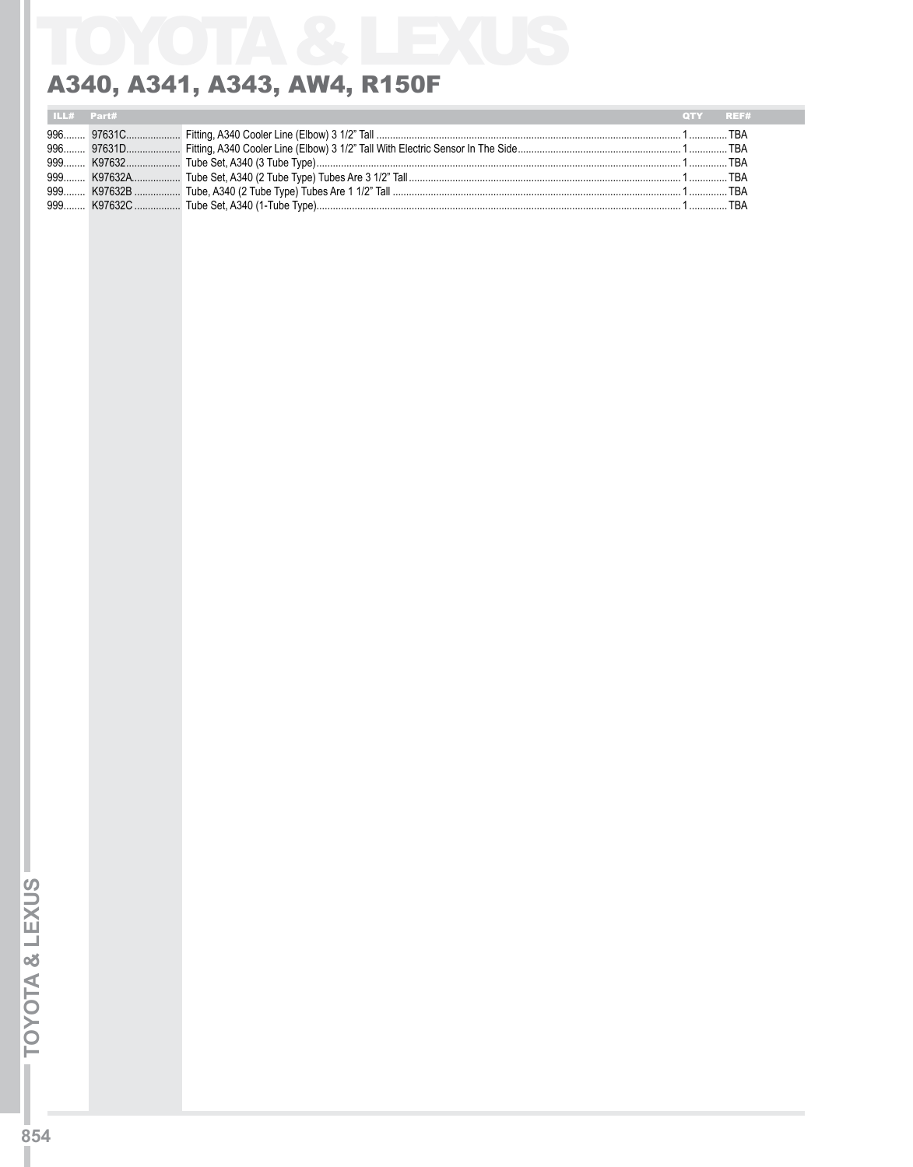| ILL# Part# |  | OTY REF# |  |
|------------|--|----------|--|
|            |  |          |  |
|            |  |          |  |
|            |  |          |  |
|            |  |          |  |
|            |  |          |  |
|            |  |          |  |